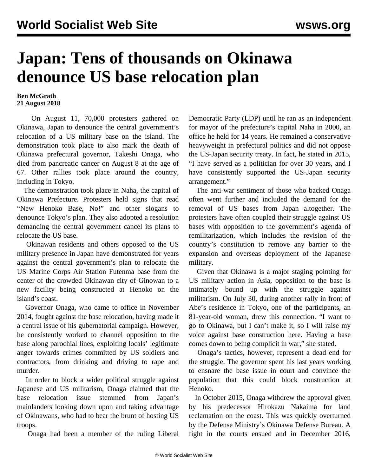## **Japan: Tens of thousands on Okinawa denounce US base relocation plan**

## **Ben McGrath 21 August 2018**

 On August 11, 70,000 protesters gathered on Okinawa, Japan to denounce the central government's relocation of a US military base on the island. The demonstration took place to also mark the death of Okinawa prefectural governor, Takeshi Onaga, who died from pancreatic cancer on August 8 at the age of 67. Other rallies took place around the country, including in Tokyo.

 The demonstration took place in Naha, the capital of Okinawa Prefecture. Protesters held signs that read "New Henoko Base, No!" and other slogans to denounce Tokyo's plan. They also adopted a resolution demanding the central government cancel its plans to relocate the US base.

 Okinawan residents and others opposed to the US military presence in Japan have demonstrated for years against the central government's plan to relocate the US Marine Corps Air Station Futenma base from the center of the crowded Okinawan city of Ginowan to a new facility being constructed at Henoko on the island's coast.

 Governor Onaga, who came to office in November 2014, fought against the base relocation, having made it a central issue of his gubernatorial campaign. However, he consistently worked to channel opposition to the base along parochial lines, exploiting locals' legitimate anger towards crimes committed by US soldiers and contractors, from drinking and driving to rape and murder.

 In order to block a wider political struggle against Japanese and US militarism, Onaga claimed that the base relocation issue stemmed from Japan's mainlanders looking down upon and taking advantage of Okinawans, who had to bear the brunt of hosting US troops.

Onaga had been a member of the ruling Liberal

Democratic Party (LDP) until he ran as an independent for mayor of the prefecture's capital Naha in 2000, an office he held for 14 years. He remained a conservative heavyweight in prefectural politics and did not oppose the US-Japan security treaty. In fact, he stated in 2015, "I have served as a politician for over 30 years, and I have consistently supported the US-Japan security arrangement."

 The anti-war sentiment of those who backed Onaga often went further and included the demand for the removal of US bases from Japan altogether. The protesters have often coupled their struggle against US bases with opposition to the government's agenda of remilitarization, which includes the revision of the country's constitution to remove any barrier to the expansion and overseas deployment of the Japanese military.

 Given that Okinawa is a major staging pointing for US military action in Asia, opposition to the base is intimately bound up with the struggle against militarism. On July 30, during another rally in front of Abe's residence in Tokyo, one of the participants, an 81-year-old woman, drew this connection. "I want to go to Okinawa, but I can't make it, so I will raise my voice against base construction here. Having a base comes down to being complicit in war," she stated.

 Onaga's tactics, however, represent a dead end for the struggle. The governor spent his last years working to ensnare the base issue in court and convince the population that this could block construction at Henoko.

 In October 2015, Onaga withdrew the approval given by his predecessor Hirokazu Nakaima for land reclamation on the coast. This was quickly overturned by the Defense Ministry's Okinawa Defense Bureau. A fight in the courts ensued and in December 2016,